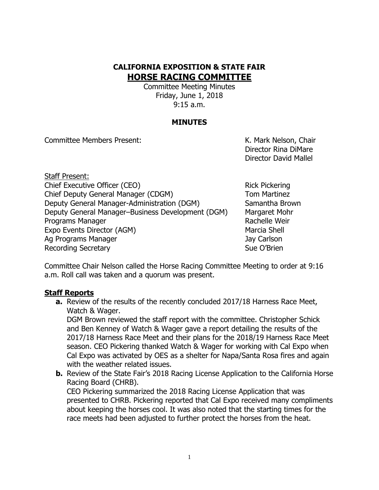# **CALIFORNIA EXPOSITION & STATE FAIR HORSE RACING COMMITTEE**

Committee Meeting Minutes Friday, June 1, 2018 9:15 a.m.

### **MINUTES**

Committee Members Present: K. Mark Nelson, Chair

Director Rina DiMare Director David Mallel

Staff Present: Chief Executive Officer (CEO) Rick Pickering Chief Deputy General Manager (CDGM) Tom Martinez Deputy General Manager-Administration (DGM) Samantha Brown Deputy General Manager–Business Development (DGM) Margaret Mohr Programs Manager **Rachelle Weir** Rachelle Weir Expo Events Director (AGM) Marcia Shell Ag Programs Manager Jay Carlson Recording Secretary **Sue O'Brien** Sue O'Brien

Committee Chair Nelson called the Horse Racing Committee Meeting to order at 9:16 a.m. Roll call was taken and a quorum was present.

#### **Staff Reports**

**a.** Review of the results of the recently concluded 2017/18 Harness Race Meet, Watch & Wager.

DGM Brown reviewed the staff report with the committee. Christopher Schick and Ben Kenney of Watch & Wager gave a report detailing the results of the 2017/18 Harness Race Meet and their plans for the 2018/19 Harness Race Meet season. CEO Pickering thanked Watch & Wager for working with Cal Expo when Cal Expo was activated by OES as a shelter for Napa/Santa Rosa fires and again with the weather related issues.

**b.** Review of the State Fair's 2018 Racing License Application to the California Horse Racing Board (CHRB).

CEO Pickering summarized the 2018 Racing License Application that was presented to CHRB. Pickering reported that Cal Expo received many compliments about keeping the horses cool. It was also noted that the starting times for the race meets had been adjusted to further protect the horses from the heat.